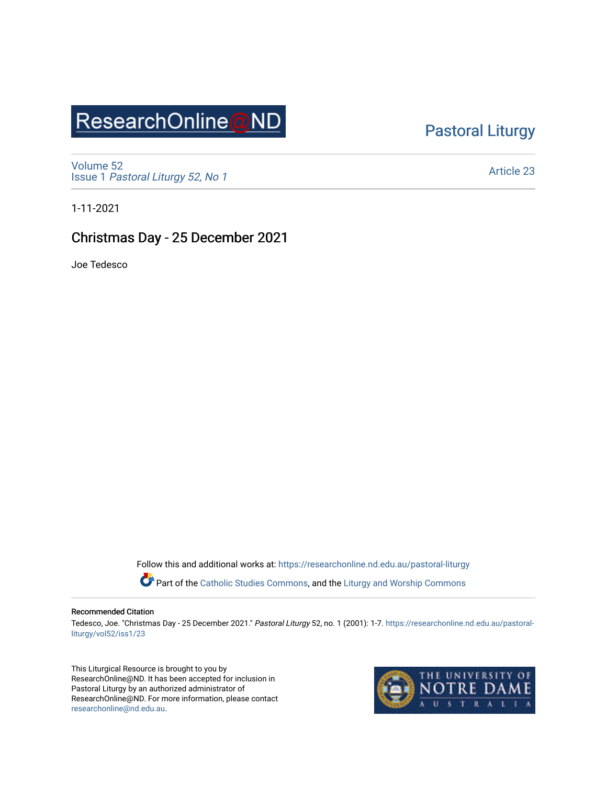# ResearchOnline@ND

# [Pastoral Liturgy](https://researchonline.nd.edu.au/pastoral-liturgy)

[Volume 52](https://researchonline.nd.edu.au/pastoral-liturgy/vol52) Issue 1 [Pastoral Liturgy 52, No 1](https://researchonline.nd.edu.au/pastoral-liturgy/vol52/iss1)

[Article 23](https://researchonline.nd.edu.au/pastoral-liturgy/vol52/iss1/23) 

1-11-2021

## Christmas Day - 25 December 2021

Joe Tedesco

Follow this and additional works at: [https://researchonline.nd.edu.au/pastoral-liturgy](https://researchonline.nd.edu.au/pastoral-liturgy?utm_source=researchonline.nd.edu.au%2Fpastoral-liturgy%2Fvol52%2Fiss1%2F23&utm_medium=PDF&utm_campaign=PDFCoverPages)

Part of the [Catholic Studies Commons,](http://network.bepress.com/hgg/discipline/1294?utm_source=researchonline.nd.edu.au%2Fpastoral-liturgy%2Fvol52%2Fiss1%2F23&utm_medium=PDF&utm_campaign=PDFCoverPages) and the Liturgy and Worship Commons

#### Recommended Citation

Tedesco, Joe. "Christmas Day - 25 December 2021." Pastoral Liturgy 52, no. 1 (2001): 1-7. [https://researchonline.nd.edu.au/pastoral](https://researchonline.nd.edu.au/pastoral-liturgy/vol52/iss1/23?utm_source=researchonline.nd.edu.au%2Fpastoral-liturgy%2Fvol52%2Fiss1%2F23&utm_medium=PDF&utm_campaign=PDFCoverPages)[liturgy/vol52/iss1/23](https://researchonline.nd.edu.au/pastoral-liturgy/vol52/iss1/23?utm_source=researchonline.nd.edu.au%2Fpastoral-liturgy%2Fvol52%2Fiss1%2F23&utm_medium=PDF&utm_campaign=PDFCoverPages) 

This Liturgical Resource is brought to you by ResearchOnline@ND. It has been accepted for inclusion in Pastoral Liturgy by an authorized administrator of ResearchOnline@ND. For more information, please contact [researchonline@nd.edu.au.](mailto:researchonline@nd.edu.au)

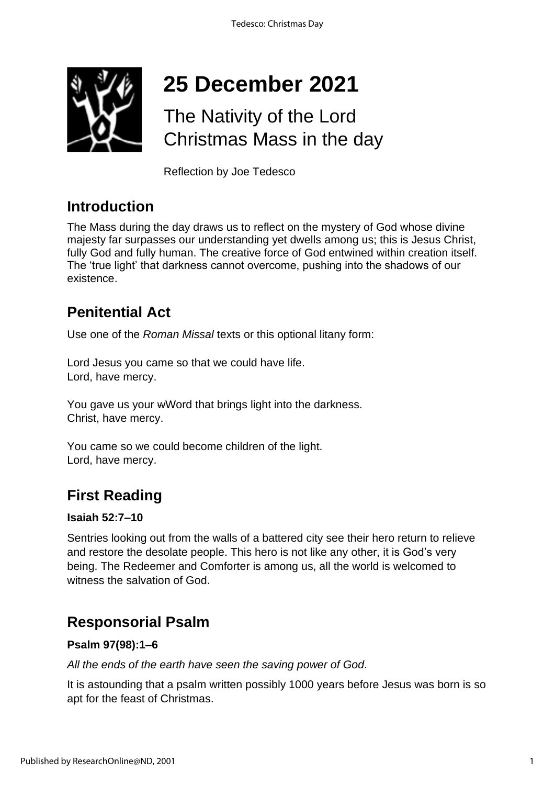

# **25 December 2021**

# The Nativity of the Lord Christmas Mass in the day

Reflection by Joe Tedesco

# **Introduction**

The Mass during the day draws us to reflect on the mystery of God whose divine majesty far surpasses our understanding yet dwells among us; this is Jesus Christ, fully God and fully human. The creative force of God entwined within creation itself. The 'true light' that darkness cannot overcome, pushing into the shadows of our existence.

# **Penitential Act**

Use one of the *Roman Missal* texts or this optional litany form:

Lord Jesus you came so that we could have life. Lord, have mercy.

You gave us your wWord that brings light into the darkness. Christ, have mercy.

You came so we could become children of the light. Lord, have mercy.

# **First Reading**

#### **Isaiah 52:7–10**

Sentries looking out from the walls of a battered city see their hero return to relieve and restore the desolate people. This hero is not like any other, it is God's very being. The Redeemer and Comforter is among us, all the world is welcomed to witness the salvation of God.

# **Responsorial Psalm**

#### **Psalm 97(98):1–6**

*All the ends of the earth have seen the saving power of God.*

It is astounding that a psalm written possibly 1000 years before Jesus was born is so apt for the feast of Christmas.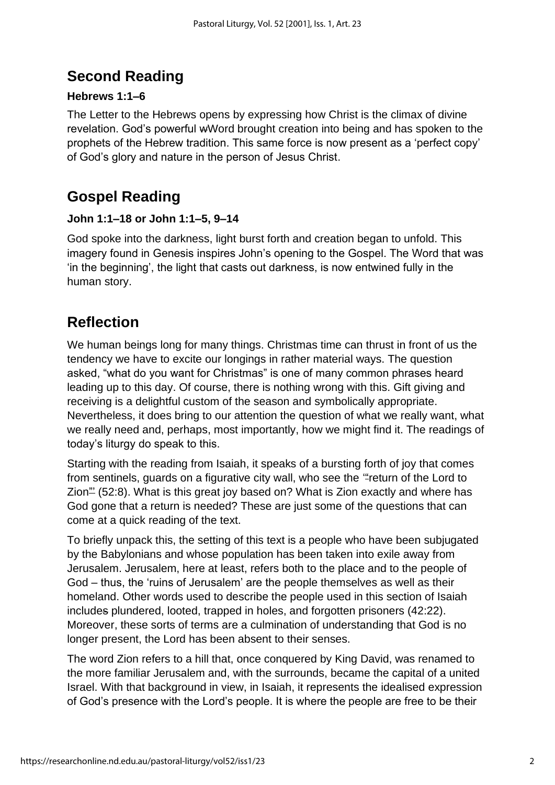# **Second Reading**

## **Hebrews 1:1–6**

The Letter to the Hebrews opens by expressing how Christ is the climax of divine revelation. God's powerful wWord brought creation into being and has spoken to the prophets of the Hebrew tradition. This same force is now present as a 'perfect copy' of God's glory and nature in the person of Jesus Christ.

# **Gospel Reading**

#### **John 1:1–18 or John 1:1–5, 9–14**

God spoke into the darkness, light burst forth and creation began to unfold. This imagery found in Genesis inspires John's opening to the Gospel. The Word that was 'in the beginning', the light that casts out darkness, is now entwined fully in the human story.

# **Reflection**

We human beings long for many things. Christmas time can thrust in front of us the tendency we have to excite our longings in rather material ways. The question asked, "what do you want for Christmas" is one of many common phrases heard leading up to this day. Of course, there is nothing wrong with this. Gift giving and receiving is a delightful custom of the season and symbolically appropriate. Nevertheless, it does bring to our attention the question of what we really want, what we really need and, perhaps, most importantly, how we might find it. The readings of today's liturgy do speak to this.

Starting with the reading from Isaiah, it speaks of a bursting forth of joy that comes from sentinels, guards on a figurative city wall, who see the "return of the Lord to Zion<sup>"</sup> (52:8). What is this great joy based on? What is Zion exactly and where has God gone that a return is needed? These are just some of the questions that can come at a quick reading of the text.

To briefly unpack this, the setting of this text is a people who have been subjugated by the Babylonians and whose population has been taken into exile away from Jerusalem. Jerusalem, here at least, refers both to the place and to the people of God – thus, the 'ruins of Jerusalem' are the people themselves as well as their homeland. Other words used to describe the people used in this section of Isaiah includes plundered, looted, trapped in holes, and forgotten prisoners (42:22). Moreover, these sorts of terms are a culmination of understanding that God is no longer present, the Lord has been absent to their senses.

The word Zion refers to a hill that, once conquered by King David, was renamed to the more familiar Jerusalem and, with the surrounds, became the capital of a united Israel. With that background in view, in Isaiah, it represents the idealised expression of God's presence with the Lord's people. It is where the people are free to be their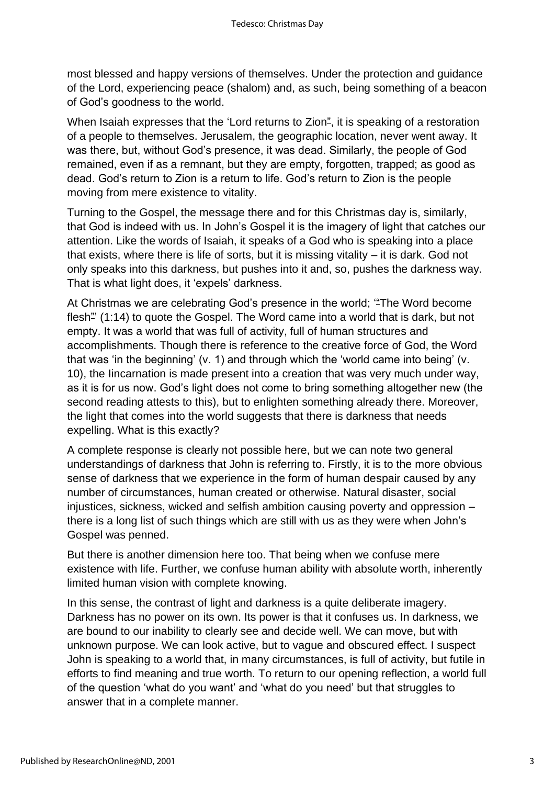most blessed and happy versions of themselves. Under the protection and guidance of the Lord, experiencing peace (shalom) and, as such, being something of a beacon of God's goodness to the world.

When Isaiah expresses that the 'Lord returns to Zion<sup>2</sup>, it is speaking of a restoration of a people to themselves. Jerusalem, the geographic location, never went away. It was there, but, without God's presence, it was dead. Similarly, the people of God remained, even if as a remnant, but they are empty, forgotten, trapped; as good as dead. God's return to Zion is a return to life. God's return to Zion is the people moving from mere existence to vitality.

Turning to the Gospel, the message there and for this Christmas day is, similarly, that God is indeed with us. In John's Gospel it is the imagery of light that catches our attention. Like the words of Isaiah, it speaks of a God who is speaking into a place that exists, where there is life of sorts, but it is missing vitality – it is dark. God not only speaks into this darkness, but pushes into it and, so, pushes the darkness way. That is what light does, it 'expels' darkness.

At Christmas we are celebrating God's presence in the world; "The Word become flesh" (1:14) to quote the Gospel. The Word came into a world that is dark, but not empty. It was a world that was full of activity, full of human structures and accomplishments. Though there is reference to the creative force of God, the Word that was 'in the beginning' (v. 1) and through which the 'world came into being' (v. 10), the Iincarnation is made present into a creation that was very much under way, as it is for us now. God's light does not come to bring something altogether new (the second reading attests to this), but to enlighten something already there. Moreover, the light that comes into the world suggests that there is darkness that needs expelling. What is this exactly?

A complete response is clearly not possible here, but we can note two general understandings of darkness that John is referring to. Firstly, it is to the more obvious sense of darkness that we experience in the form of human despair caused by any number of circumstances, human created or otherwise. Natural disaster, social injustices, sickness, wicked and selfish ambition causing poverty and oppression – there is a long list of such things which are still with us as they were when John's Gospel was penned.

But there is another dimension here too. That being when we confuse mere existence with life. Further, we confuse human ability with absolute worth, inherently limited human vision with complete knowing.

In this sense, the contrast of light and darkness is a quite deliberate imagery. Darkness has no power on its own. Its power is that it confuses us. In darkness, we are bound to our inability to clearly see and decide well. We can move, but with unknown purpose. We can look active, but to vague and obscured effect. I suspect John is speaking to a world that, in many circumstances, is full of activity, but futile in efforts to find meaning and true worth. To return to our opening reflection, a world full of the question 'what do you want' and 'what do you need' but that struggles to answer that in a complete manner.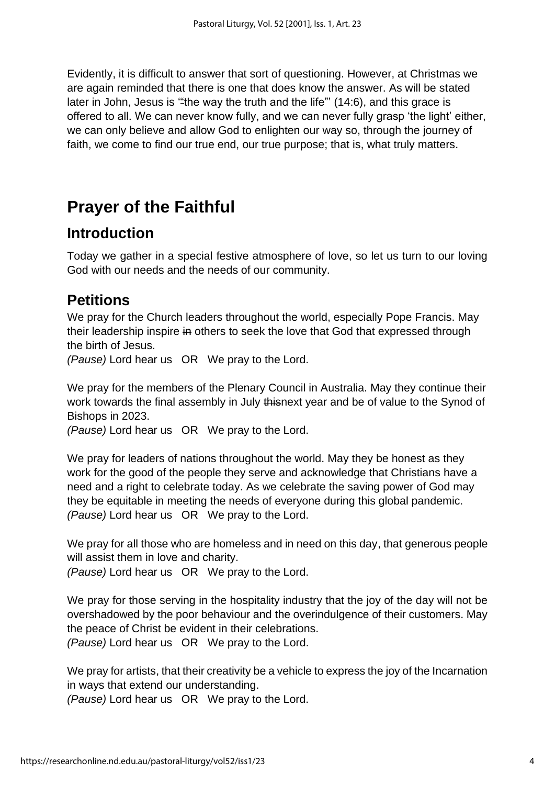Evidently, it is difficult to answer that sort of questioning. However, at Christmas we are again reminded that there is one that does know the answer. As will be stated later in John, Jesus is "the way the truth and the life"' (14:6), and this grace is offered to all. We can never know fully, and we can never fully grasp 'the light' either, we can only believe and allow God to enlighten our way so, through the journey of faith, we come to find our true end, our true purpose; that is, what truly matters.

# **Prayer of the Faithful**

# **Introduction**

Today we gather in a special festive atmosphere of love, so let us turn to our loving God with our needs and the needs of our community.

# **Petitions**

We pray for the Church leaders throughout the world, especially Pope Francis. May their leadership inspire in others to seek the love that God that expressed through the birth of Jesus.

*(Pause)* Lord hear us OR We pray to the Lord.

We pray for the members of the Plenary Council in Australia. May they continue their work towards the final assembly in July thisnext year and be of value to the Synod of Bishops in 2023.

*(Pause)* Lord hear us OR We pray to the Lord.

We pray for leaders of nations throughout the world. May they be honest as they work for the good of the people they serve and acknowledge that Christians have a need and a right to celebrate today. As we celebrate the saving power of God may they be equitable in meeting the needs of everyone during this global pandemic. *(Pause)* Lord hear us OR We pray to the Lord.

We pray for all those who are homeless and in need on this day, that generous people will assist them in love and charity.

*(Pause)* Lord hear us OR We pray to the Lord.

We pray for those serving in the hospitality industry that the joy of the day will not be overshadowed by the poor behaviour and the overindulgence of their customers. May the peace of Christ be evident in their celebrations.

*(Pause)* Lord hear us OR We pray to the Lord.

We pray for artists, that their creativity be a vehicle to express the joy of the Incarnation in ways that extend our understanding.

*(Pause)* Lord hear us OR We pray to the Lord.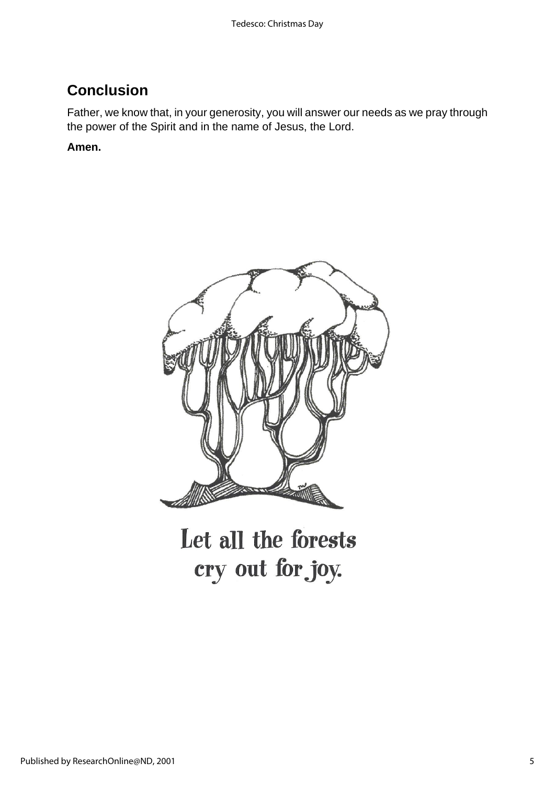# **Conclusion**

Father, we know that, in your generosity, you will answer our needs as we pray through the power of the Spirit and in the name of Jesus, the Lord.

#### **Amen.**



Let all the forests cry out for joy.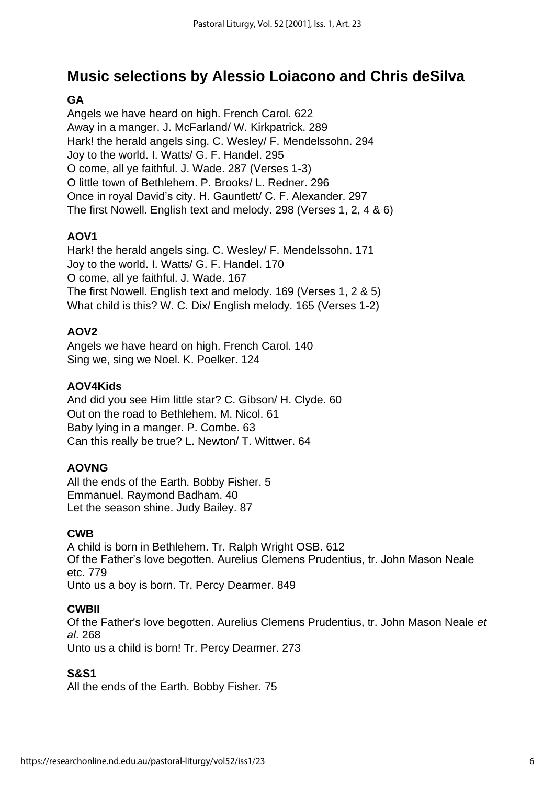# **Music selections by Alessio Loiacono and Chris deSilva**

#### **GA**

Angels we have heard on high. French Carol. 622 Away in a manger. J. McFarland/ W. Kirkpatrick. 289 Hark! the herald angels sing. C. Wesley/ F. Mendelssohn. 294 Joy to the world. I. Watts/ G. F. Handel. 295 O come, all ye faithful. J. Wade. 287 (Verses 1-3) O little town of Bethlehem. P. Brooks/ L. Redner. 296 Once in royal David's city. H. Gauntlett/ C. F. Alexander. 297 The first Nowell. English text and melody. 298 (Verses 1, 2, 4 & 6)

#### **AOV1**

Hark! the herald angels sing. C. Wesley/ F. Mendelssohn. 171 Joy to the world. I. Watts/ G. F. Handel. 170 O come, all ye faithful. J. Wade. 167 The first Nowell. English text and melody. 169 (Verses 1, 2 & 5) What child is this? W. C. Dix/ English melody. 165 (Verses 1-2)

#### **AOV2**

Angels we have heard on high. French Carol. 140 Sing we, sing we Noel. K. Poelker. 124

#### **AOV4Kids**

And did you see Him little star? C. Gibson/ H. Clyde. 60 Out on the road to Bethlehem. M. Nicol. 61 Baby lying in a manger. P. Combe. 63 Can this really be true? L. Newton/ T. Wittwer. 64

#### **AOVNG**

All the ends of the Earth. Bobby Fisher. 5 Emmanuel. Raymond Badham. 40 Let the season shine. Judy Bailey. 87

#### **CWB**

A child is born in Bethlehem. Tr. Ralph Wright OSB. 612 Of the Father's love begotten. Aurelius Clemens Prudentius, tr. John Mason Neale etc. 779 Unto us a boy is born. Tr. Percy Dearmer. 849

#### **CWBII**

Of the Father's love begotten. Aurelius Clemens Prudentius, tr. John Mason Neale *et al*. 268 Unto us a child is born! Tr. Percy Dearmer. 273

#### **S&S1**

All the ends of the Earth. Bobby Fisher. 75